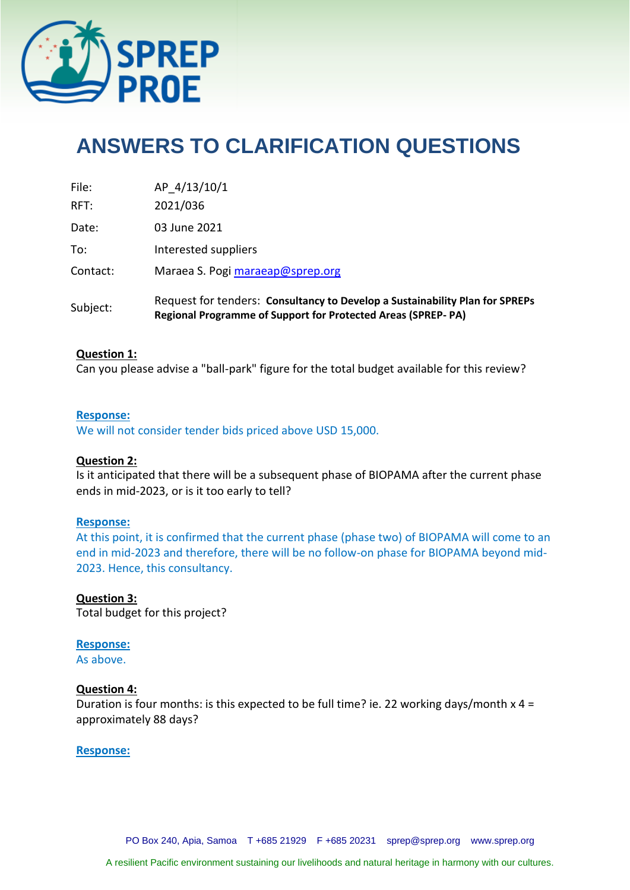

# **ANSWERS TO CLARIFICATION QUESTIONS**

| Subject: | Request for tenders: Consultancy to Develop a Sustainability Plan for SPREPs<br>Regional Programme of Support for Protected Areas (SPREP-PA) |
|----------|----------------------------------------------------------------------------------------------------------------------------------------------|
| Contact: | Maraea S. Pogi maraeap@sprep.org                                                                                                             |
| To:      | Interested suppliers                                                                                                                         |
| Date:    | 03 June 2021                                                                                                                                 |
| RFT:     | 2021/036                                                                                                                                     |
| File:    | AP 4/13/10/1                                                                                                                                 |

#### **Question 1:**

Can you please advise a "ball-park" figure for the total budget available for this review?

#### **Response:**

We will not consider tender bids priced above USD 15,000.

# **Question 2:**

Is it anticipated that there will be a subsequent phase of BIOPAMA after the current phase ends in mid-2023, or is it too early to tell?

# **Response:**

At this point, it is confirmed that the current phase (phase two) of BIOPAMA will come to an end in mid-2023 and therefore, there will be no follow-on phase for BIOPAMA beyond mid-2023. Hence, this consultancy.

# **Question 3:**

Total budget for this project?

# **Response:**

As above.

# **Question 4:**

Duration is four months: is this expected to be full time? ie. 22 working days/month x 4 = approximately 88 days?

# **Response:**